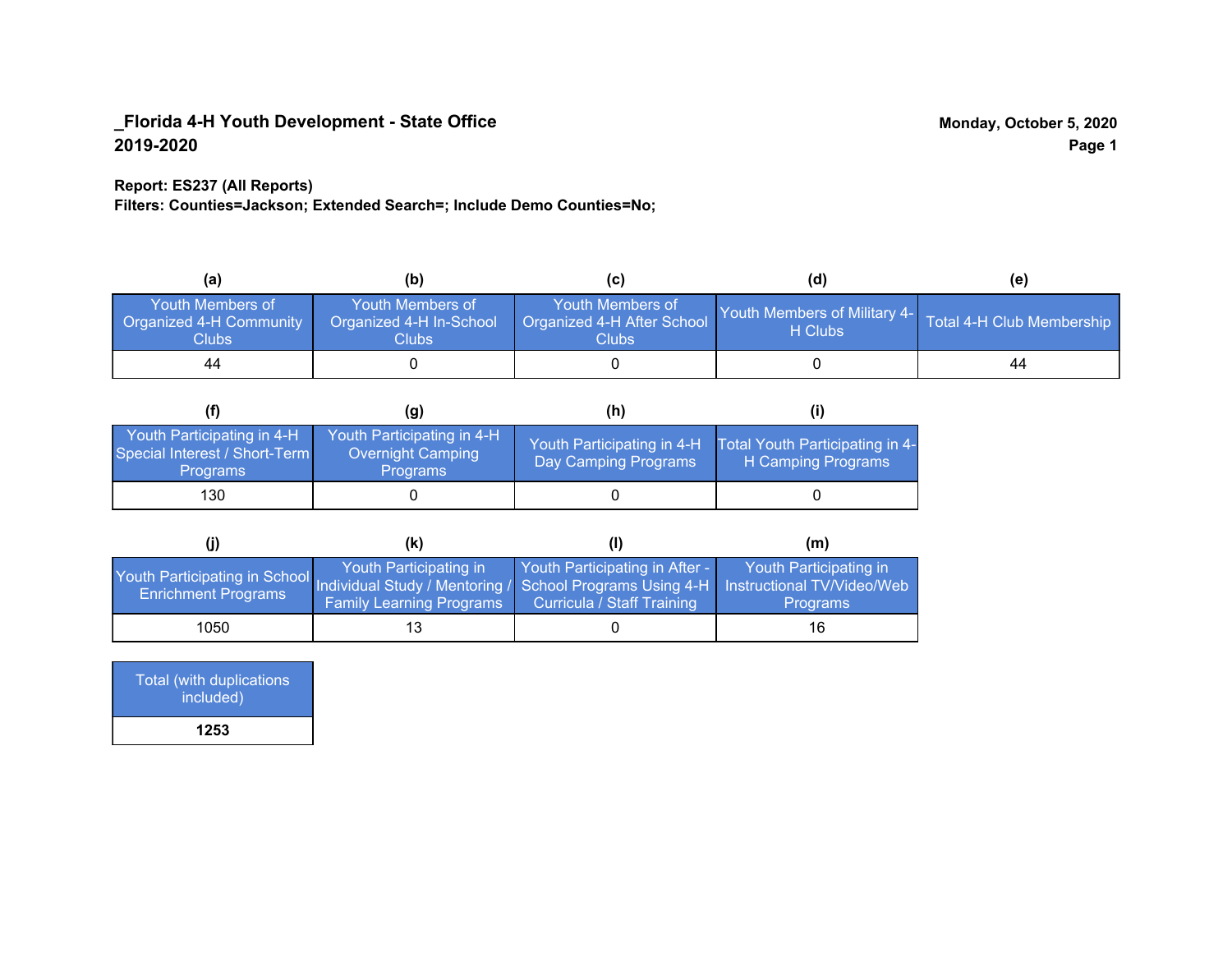### **Report: ES237 (All Reports)**

**Filters: Counties=Jackson; Extended Search=; Include Demo Counties=No;**

| (a)                                                         | (b)                                                  |                                                                | (d)                                                               | (e) |
|-------------------------------------------------------------|------------------------------------------------------|----------------------------------------------------------------|-------------------------------------------------------------------|-----|
| Youth Members of<br><b>Organized 4-H Community</b><br>Clubs | Youth Members of<br>Organized 4-H In-School<br>Clubs | Youth Members of<br>Organized 4-H After School<br><b>Clubs</b> | Youth Members of Military 4- Total 4-H Club Membership<br>H Clubs |     |
| 44                                                          |                                                      |                                                                |                                                                   | 44  |

|                                                                                | (g)                                                                | (h)                                                |                                                       |
|--------------------------------------------------------------------------------|--------------------------------------------------------------------|----------------------------------------------------|-------------------------------------------------------|
| Youth Participating in 4-H<br>Special Interest / Short-Term<br><b>Programs</b> | Youth Participating in 4-H<br>Overnight Camping<br><b>Programs</b> | Youth Participating in 4-H<br>Day Camping Programs | Total Youth Participating in 4-<br>H Camping Programs |
| 130                                                                            |                                                                    |                                                    |                                                       |

|                                                                                                                                                 | (K)                                                       |                                                                     | (m)                                       |
|-------------------------------------------------------------------------------------------------------------------------------------------------|-----------------------------------------------------------|---------------------------------------------------------------------|-------------------------------------------|
| Youth Participating in School Individual Study / Mentoring / School Programs Using 4-H Instructional TV/Video/Web<br><b>Enrichment Programs</b> | Youth Participating in<br><b>Family Learning Programs</b> | Youth Participating in After -<br><b>Curricula / Staff Training</b> | Youth Participating in<br><b>Programs</b> |
| 1050                                                                                                                                            | 13                                                        |                                                                     | 16                                        |

| Total (with duplications<br>included) |
|---------------------------------------|
| 1253                                  |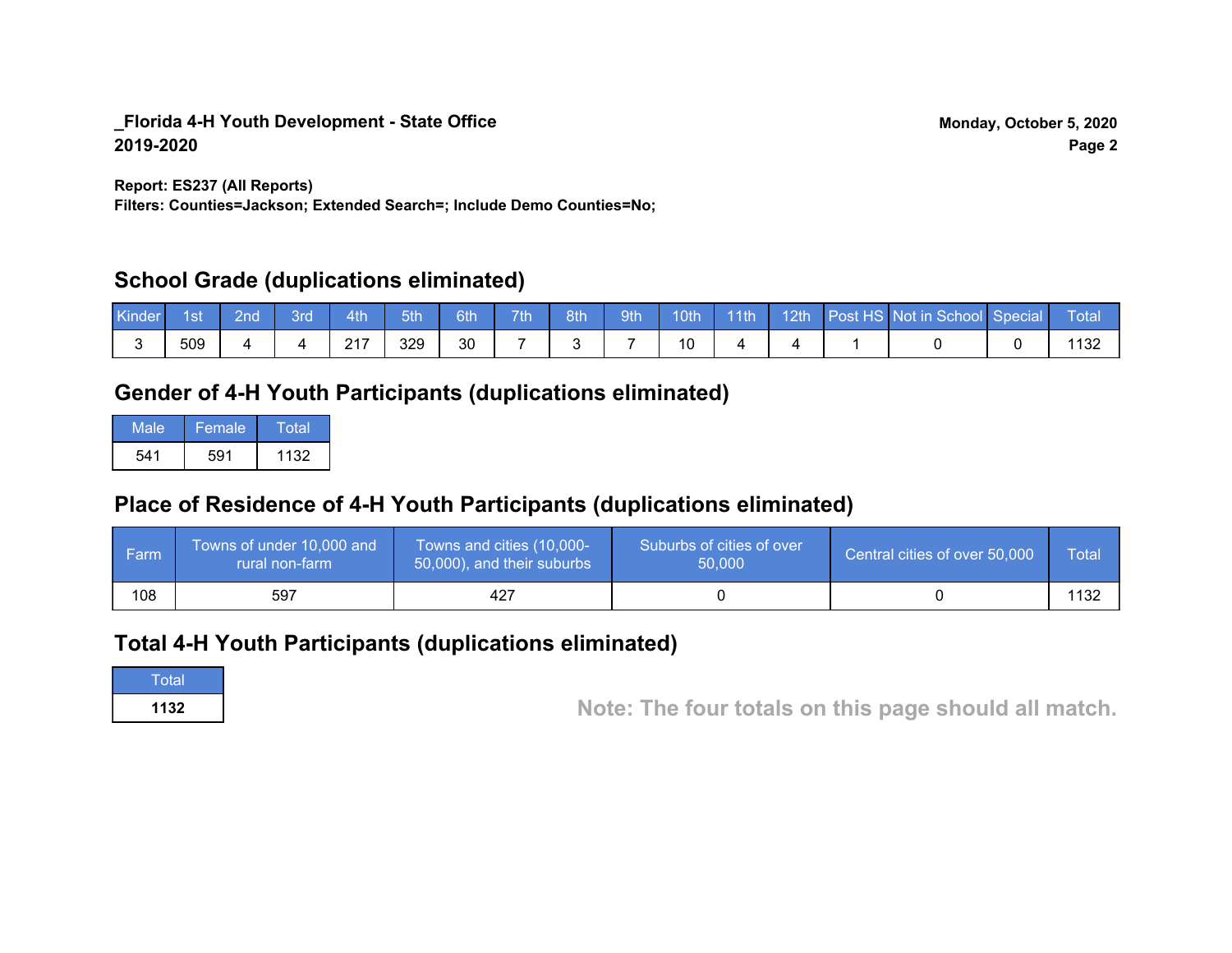**Report: ES237 (All Reports)**

**Filters: Counties=Jackson; Extended Search=; Include Demo Counties=No;**

## **School Grade (duplications eliminated)**

| Kinder | 1st | 2nd | 3rd | 4th          | 5th | 6th | 7 <sup>th</sup> | 8th | 9th | 10 <sub>th</sub> | $-11$ th | 12th | Post HS Not in School Special | Total |
|--------|-----|-----|-----|--------------|-----|-----|-----------------|-----|-----|------------------|----------|------|-------------------------------|-------|
|        | 509 |     |     | 247<br>2 I I | 329 | 30  |                 |     |     | 10               |          |      |                               | 1 J Z |

## **Gender of 4-H Youth Participants (duplications eliminated)**

| Male | Female | Total |
|------|--------|-------|
| 541  | 591    | 1132  |

## **Place of Residence of 4-H Youth Participants (duplications eliminated)**

| ∣ Farm | Towns of under 10,000 and<br>rural non-farm | Towns and cities (10,000-<br>50,000), and their suburbs | Suburbs of cities of over<br>50,000 | Central cities of over 50,000 | Total       |
|--------|---------------------------------------------|---------------------------------------------------------|-------------------------------------|-------------------------------|-------------|
| 108    | 597                                         | 427                                                     |                                     |                               | 1120<br>4 ט |

## **Total 4-H Youth Participants (duplications eliminated)**

**Total** 

**<sup>1132</sup> Note: The four totals on this page should all match.**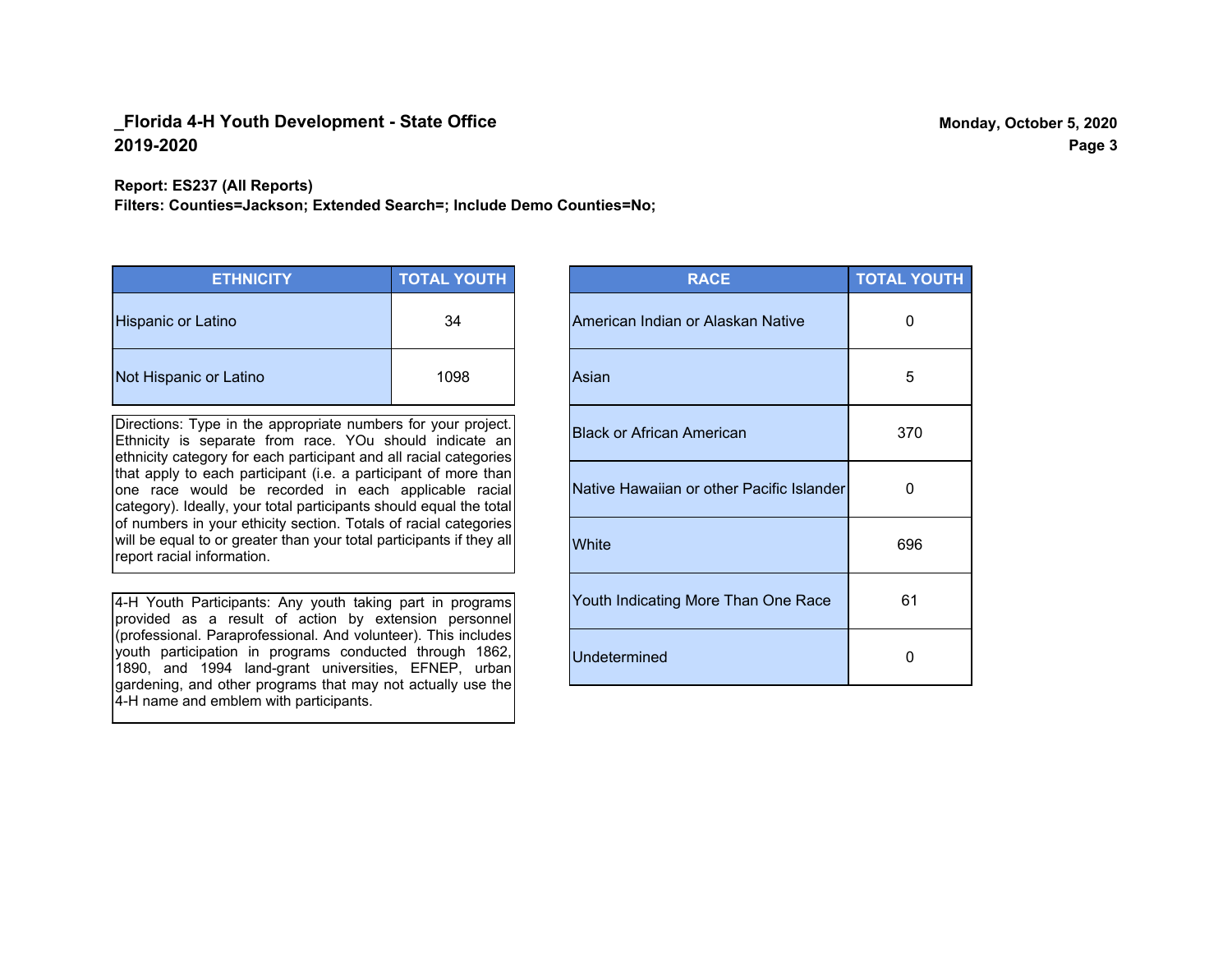**Report: ES237 (All Reports)**

**Filters: Counties=Jackson; Extended Search=; Include Demo Counties=No;**

| <b>ETHNICITY</b>          | <b>TOTAL YOUTH</b> |
|---------------------------|--------------------|
| <b>Hispanic or Latino</b> | 34                 |
| Not Hispanic or Latino    | 1098               |

Directions: Type in the appropriate numbers for your project. Ethnicity is separate from race. YOu should indicate an ethnicity category for each participant and all racial categories that apply to each participant (i.e. a participant of more than one race would be recorded in each applicable racial category). Ideally, your total participants should equal the total of numbers in your ethicity section. Totals of racial categories will be equal to or greater than your total participants if they all report racial information.

4-H Youth Participants: Any youth taking part in programs provided as a result of action by extension personnel (professional. Paraprofessional. And volunteer). This includes youth participation in programs conducted through 1862, 1890, and 1994 land-grant universities, EFNEP, urban gardening, and other programs that may not actually use the 4-H name and emblem with participants.

| <b>RACE</b>                               | <b>TOTAL YOUTH</b> |
|-------------------------------------------|--------------------|
| American Indian or Alaskan Native         | 0                  |
| Asian                                     | 5                  |
| <b>Black or African American</b>          | 370                |
| Native Hawaiian or other Pacific Islander | 0                  |
| White                                     | 696                |
| Youth Indicating More Than One Race       | 61                 |
| <b>Undetermined</b>                       | 0                  |

**Page 3**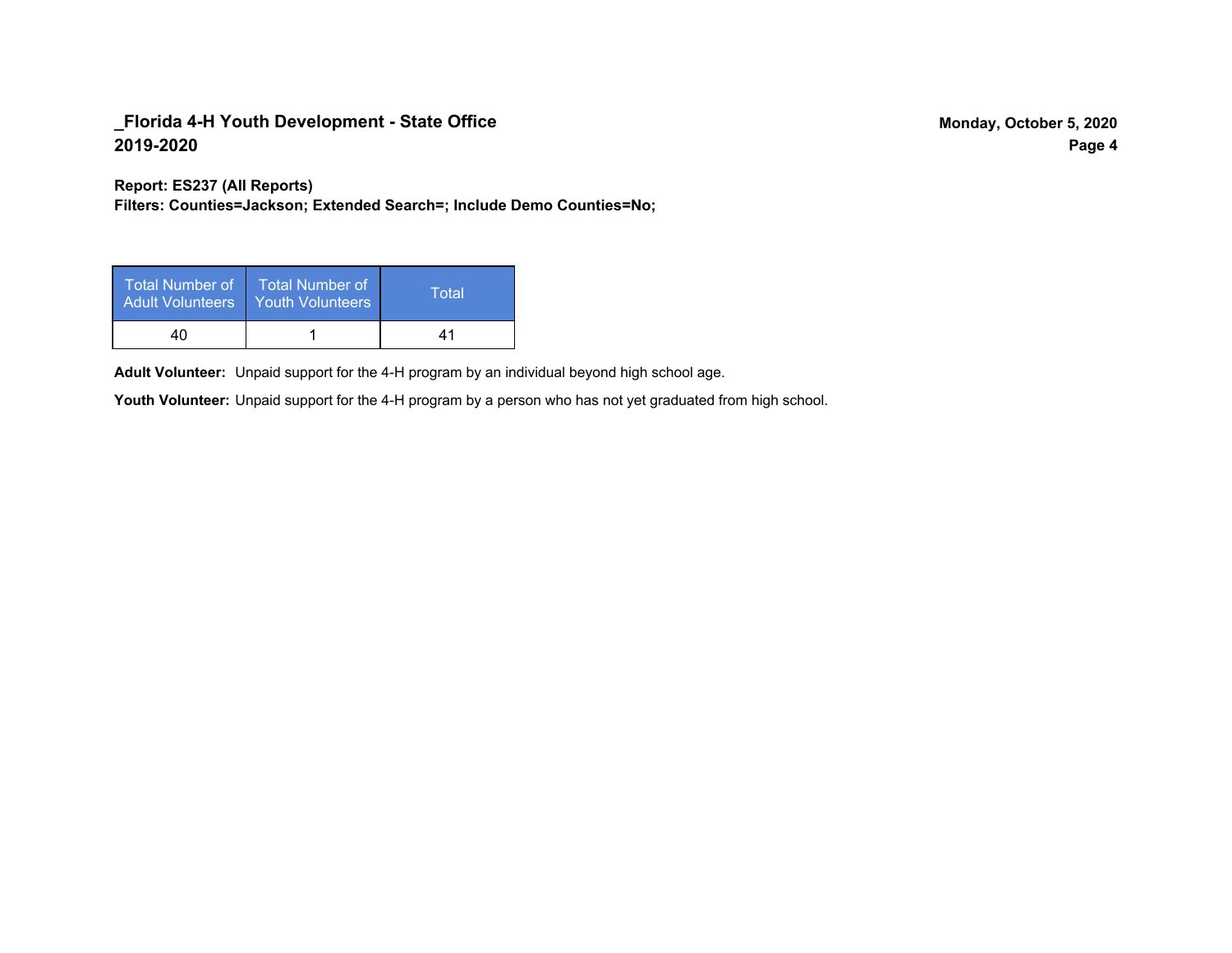**Report: ES237 (All Reports)**

**Filters: Counties=Jackson; Extended Search=; Include Demo Counties=No;**

| Total Number of<br><b>Adult Volunteers</b> | <b>Total Number of</b><br><b>Youth Volunteers</b> | Total |
|--------------------------------------------|---------------------------------------------------|-------|
| 40                                         |                                                   | 41    |

Adult Volunteer: Unpaid support for the 4-H program by an individual beyond high school age.

Youth Volunteer: Unpaid support for the 4-H program by a person who has not yet graduated from high school.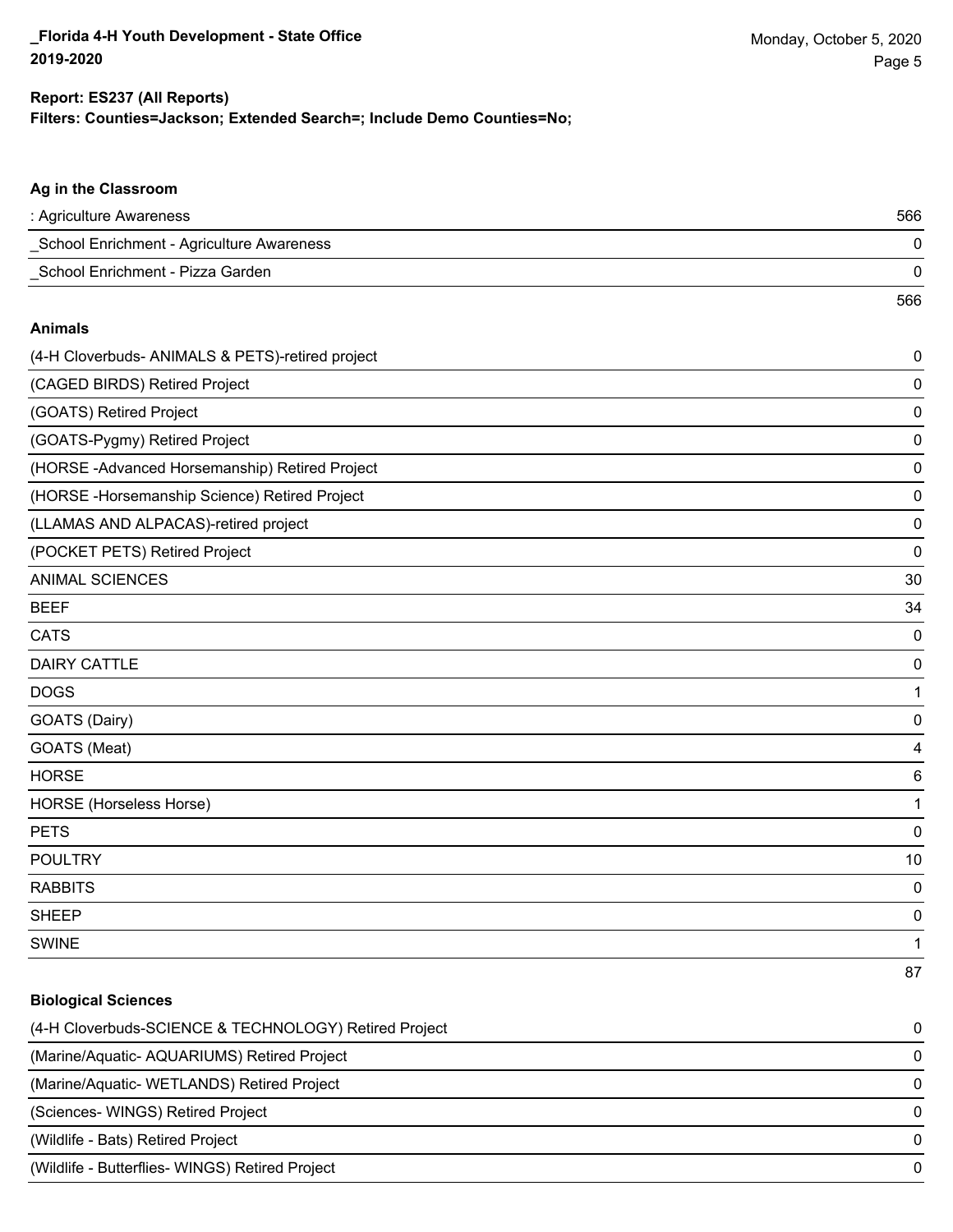### **Filters: Counties=Jackson; Extended Search=; Include Demo Counties=No; Report: ES237 (All Reports)**

| Ag in the Classroom                              |             |
|--------------------------------------------------|-------------|
| : Agriculture Awareness                          | 566         |
| _School Enrichment - Agriculture Awareness       | 0           |
| _School Enrichment - Pizza Garden                | 0           |
|                                                  | 566         |
| <b>Animals</b>                                   |             |
| (4-H Cloverbuds- ANIMALS & PETS)-retired project | 0           |
| (CAGED BIRDS) Retired Project                    | 0           |
| (GOATS) Retired Project                          | 0           |
| (GOATS-Pygmy) Retired Project                    | 0           |
| (HORSE-Advanced Horsemanship) Retired Project    | $\mathbf 0$ |
| (HORSE-Horsemanship Science) Retired Project     | 0           |
| (LLAMAS AND ALPACAS)-retired project             | 0           |
| (POCKET PETS) Retired Project                    | $\mathbf 0$ |
| <b>ANIMAL SCIENCES</b>                           | 30          |
| <b>BEEF</b>                                      | 34          |
| <b>CATS</b>                                      | $\mathbf 0$ |
| <b>DAIRY CATTLE</b>                              | $\mathbf 0$ |
| <b>DOGS</b>                                      | 1           |
| GOATS (Dairy)                                    | $\mathbf 0$ |
| GOATS (Meat)                                     | 4           |
| <b>HORSE</b>                                     | 6           |
| <b>HORSE</b> (Horseless Horse)                   | 1           |
| <b>PETS</b>                                      | $\mathbf 0$ |
| <b>POULTRY</b>                                   | 10          |
| <b>RABBITS</b>                                   | $\mathbf 0$ |
| <b>SHEEP</b>                                     | $\mathbf 0$ |
| <b>SWINE</b>                                     | 1           |
|                                                  | 87          |

# **Biological Sciences** (4-H Cloverbuds-SCIENCE & TECHNOLOGY) Retired Project 0 (Marine/Aquatic- AQUARIUMS) Retired Project 0 (Marine/Aquatic- WETLANDS) Retired Project 0 (Sciences- WINGS) Retired Project 0 (Wildlife - Bats) Retired Project 0 (Wildlife - Butterflies- WINGS) Retired Project 0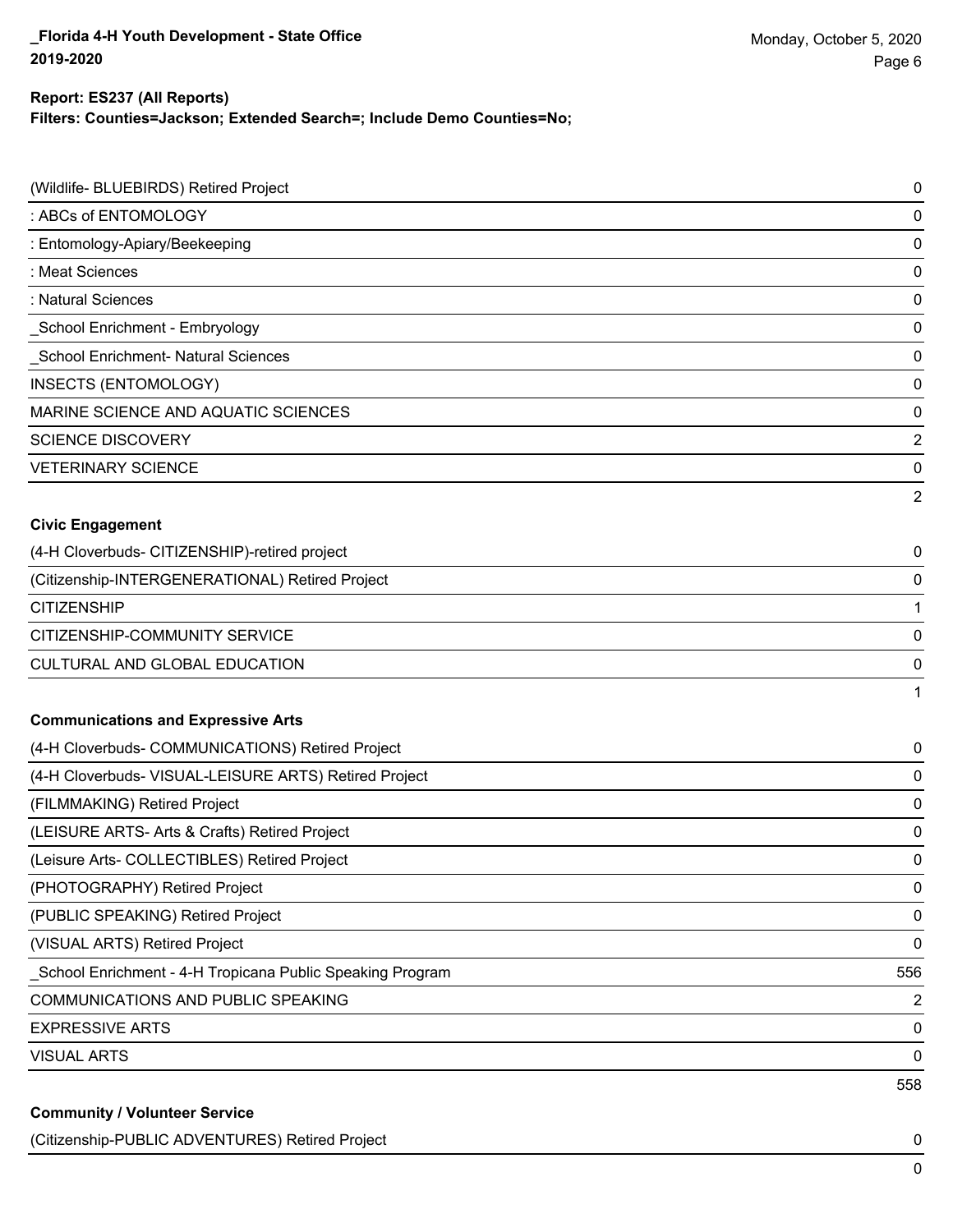### **Report: ES237 (All Reports)**

**Filters: Counties=Jackson; Extended Search=; Include Demo Counties=No;**

| (Wildlife- BLUEBIRDS) Retired Project                     | 0              |
|-----------------------------------------------------------|----------------|
| : ABCs of ENTOMOLOGY                                      | 0              |
| : Entomology-Apiary/Beekeeping                            | 0              |
| : Meat Sciences                                           | $\mathbf 0$    |
| : Natural Sciences                                        | 0              |
| _School Enrichment - Embryology                           | $\mathbf 0$    |
| School Enrichment- Natural Sciences                       | 0              |
| INSECTS (ENTOMOLOGY)                                      | $\mathbf 0$    |
| MARINE SCIENCE AND AQUATIC SCIENCES                       | 0              |
| <b>SCIENCE DISCOVERY</b>                                  | 2              |
| <b>VETERINARY SCIENCE</b>                                 | 0              |
|                                                           | 2              |
| <b>Civic Engagement</b>                                   |                |
| (4-H Cloverbuds- CITIZENSHIP)-retired project             | 0              |
| (Citizenship-INTERGENERATIONAL) Retired Project           | 0              |
| <b>CITIZENSHIP</b>                                        | 1              |
| CITIZENSHIP-COMMUNITY SERVICE                             | $\mathbf 0$    |
| CULTURAL AND GLOBAL EDUCATION                             | 0              |
|                                                           | 1              |
| <b>Communications and Expressive Arts</b>                 |                |
| (4-H Cloverbuds- COMMUNICATIONS) Retired Project          | 0              |
| (4-H Cloverbuds- VISUAL-LEISURE ARTS) Retired Project     | 0              |
| (FILMMAKING) Retired Project                              | 0              |
| (LEISURE ARTS- Arts & Crafts) Retired Project             | 0              |
| (Leisure Arts- COLLECTIBLES) Retired Project              | 0              |
| (PHOTOGRAPHY) Retired Project                             | 0              |
| (PUBLIC SPEAKING) Retired Project                         | 0              |
| (VISUAL ARTS) Retired Project                             | 0              |
| School Enrichment - 4-H Tropicana Public Speaking Program | 556            |
| COMMUNICATIONS AND PUBLIC SPEAKING                        | $\overline{2}$ |
| <b>EXPRESSIVE ARTS</b>                                    | $\mathbf 0$    |
| <b>VISUAL ARTS</b>                                        | 0              |
|                                                           | 558            |
| <b>Community / Volunteer Service</b>                      |                |

(Citizenship-PUBLIC ADVENTURES) Retired Project 0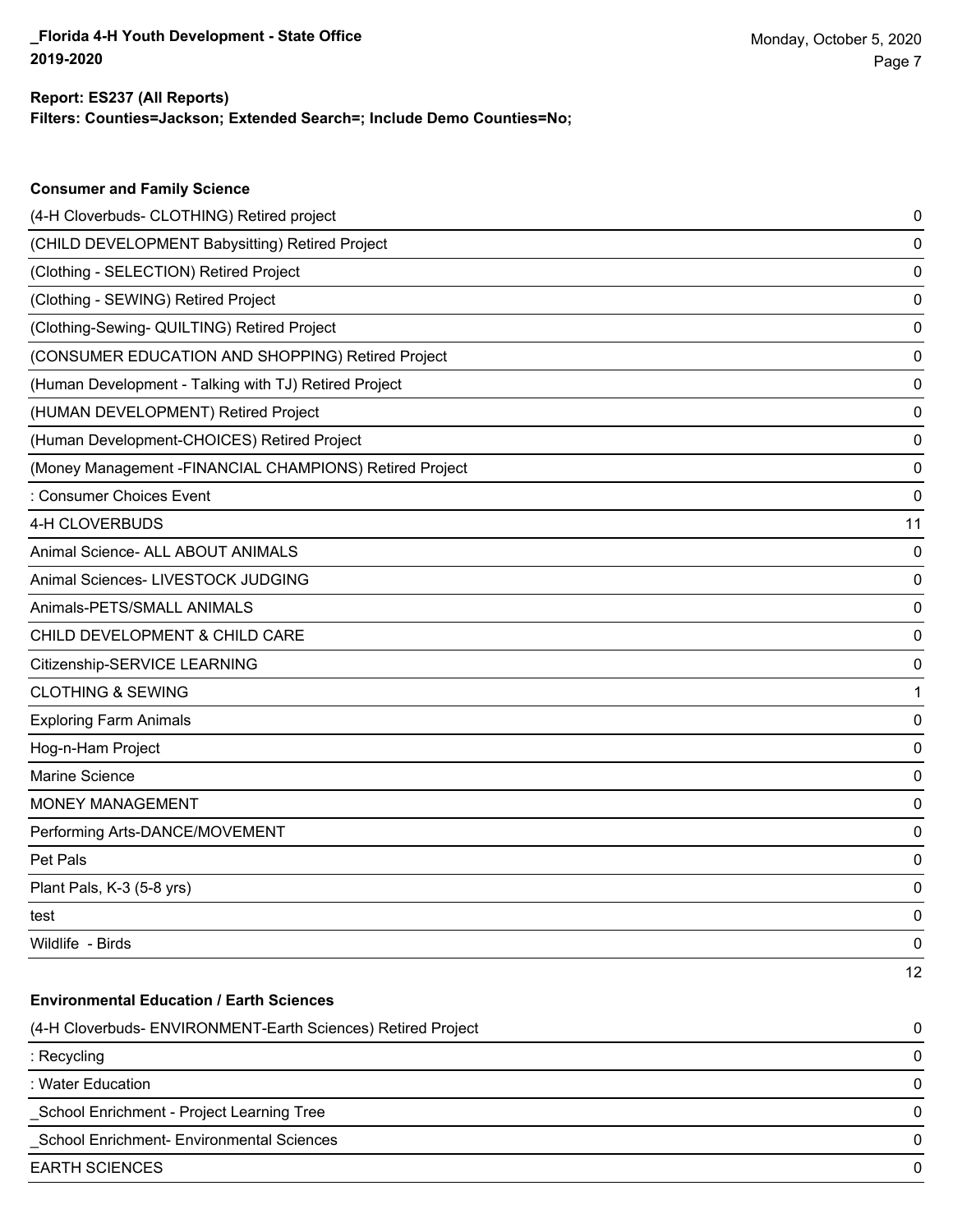**Consumer and Family Science**

# **Report: ES237 (All Reports)**

**Filters: Counties=Jackson; Extended Search=; Include Demo Counties=No;**

| (4-H Cloverbuds- CLOTHING) Retired project                   | 0  |
|--------------------------------------------------------------|----|
| (CHILD DEVELOPMENT Babysitting) Retired Project              | 0  |
| (Clothing - SELECTION) Retired Project                       | 0  |
| (Clothing - SEWING) Retired Project                          | 0  |
| (Clothing-Sewing- QUILTING) Retired Project                  | 0  |
| (CONSUMER EDUCATION AND SHOPPING) Retired Project            | 0  |
| (Human Development - Talking with TJ) Retired Project        | 0  |
| (HUMAN DEVELOPMENT) Retired Project                          | 0  |
| (Human Development-CHOICES) Retired Project                  | 0  |
| (Money Management -FINANCIAL CHAMPIONS) Retired Project      | 0  |
| : Consumer Choices Event                                     | 0  |
| 4-H CLOVERBUDS                                               | 11 |
| Animal Science- ALL ABOUT ANIMALS                            | 0  |
| Animal Sciences- LIVESTOCK JUDGING                           | 0  |
| Animals-PETS/SMALL ANIMALS                                   | 0  |
| CHILD DEVELOPMENT & CHILD CARE                               | 0  |
| Citizenship-SERVICE LEARNING                                 | 0  |
| <b>CLOTHING &amp; SEWING</b>                                 | 1  |
| <b>Exploring Farm Animals</b>                                | 0  |
| Hog-n-Ham Project                                            | 0  |
| Marine Science                                               | 0  |
| MONEY MANAGEMENT                                             | 0  |
| Performing Arts-DANCE/MOVEMENT                               | 0  |
| Pet Pals                                                     | 0  |
| Plant Pals, K-3 (5-8 yrs)                                    | 0  |
| test                                                         | 0  |
| Wildlife - Birds                                             | 0  |
|                                                              | 12 |
| <b>Environmental Education / Earth Sciences</b>              |    |
| (4-H Cloverbuds- ENVIRONMENT-Earth Sciences) Retired Project | 0  |
| : Recycling                                                  | 0  |
| : Water Education                                            | 0  |
| School Enrichment - Project Learning Tree                    | 0  |
| School Enrichment- Environmental Sciences                    | 0  |
| <b>EARTH SCIENCES</b>                                        | 0  |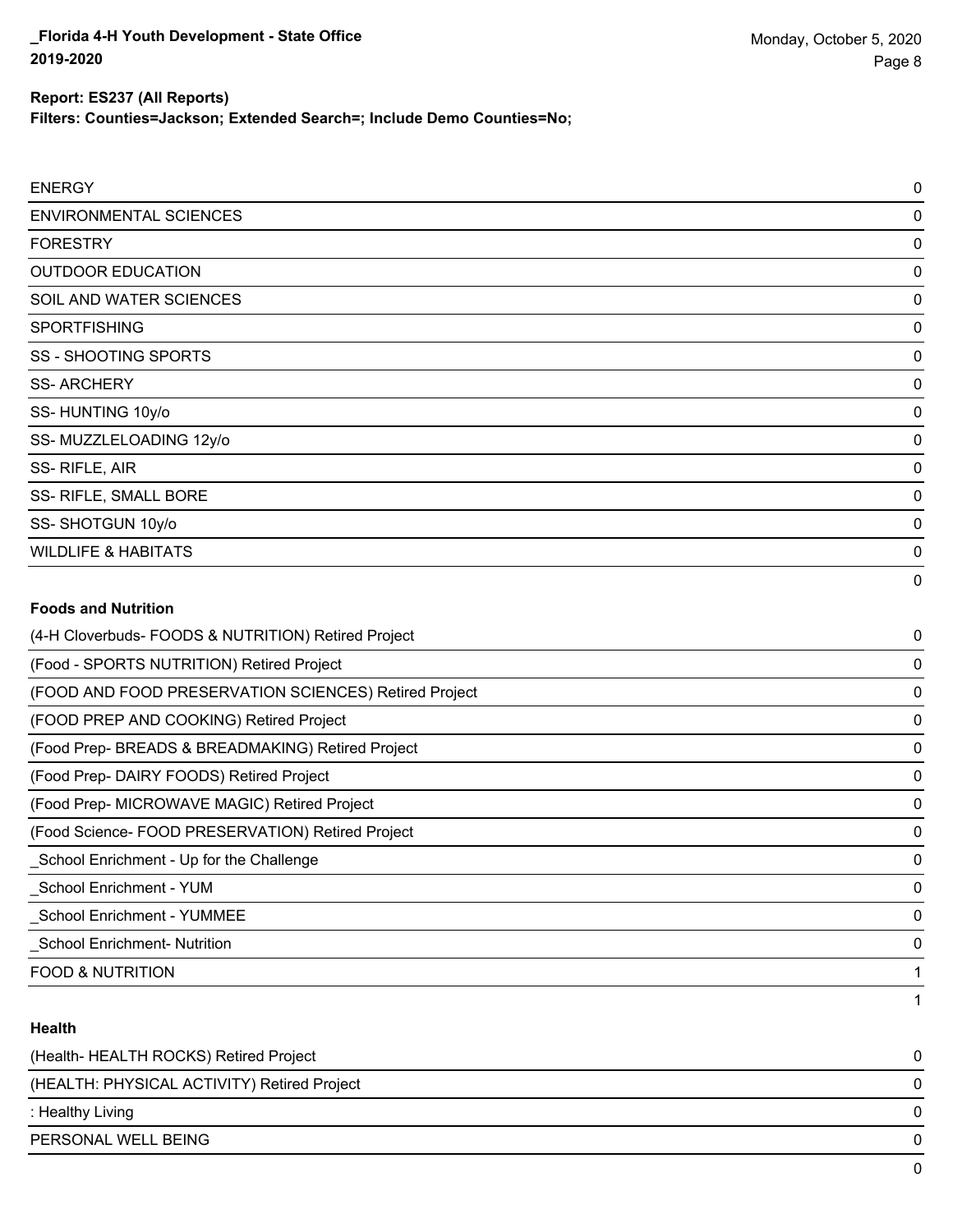**Filters: Counties=Jackson; Extended Search=; Include Demo Counties=No;**

| <b>ENERGY</b>                                         | 0 |
|-------------------------------------------------------|---|
| <b>ENVIRONMENTAL SCIENCES</b>                         | 0 |
| <b>FORESTRY</b>                                       | 0 |
| <b>OUTDOOR EDUCATION</b>                              | 0 |
| SOIL AND WATER SCIENCES                               | 0 |
| <b>SPORTFISHING</b>                                   | 0 |
| <b>SS - SHOOTING SPORTS</b>                           | 0 |
| <b>SS-ARCHERY</b>                                     | 0 |
| SS-HUNTING 10y/o                                      | 0 |
| SS-MUZZLELOADING 12y/o                                | 0 |
| SS-RIFLE, AIR                                         | 0 |
| SS- RIFLE, SMALL BORE                                 | 0 |
| SS-SHOTGUN 10y/o                                      | 0 |
| <b>WILDLIFE &amp; HABITATS</b>                        | 0 |
|                                                       | 0 |
| <b>Foods and Nutrition</b>                            |   |
| (4-H Cloverbuds- FOODS & NUTRITION) Retired Project   | 0 |
| (Food - SPORTS NUTRITION) Retired Project             | 0 |
| (FOOD AND FOOD PRESERVATION SCIENCES) Retired Project | 0 |
| (FOOD PREP AND COOKING) Retired Project               | 0 |
| (Food Prep- BREADS & BREADMAKING) Retired Project     | 0 |
| (Food Prep- DAIRY FOODS) Retired Project              | 0 |

#### **Health**

| (Health-HEALTH ROCKS) Retired Project       | 0 |
|---------------------------------------------|---|
| (HEALTH: PHYSICAL ACTIVITY) Retired Project | 0 |
| : Healthy Living                            | 0 |
| PERSONAL WELL BEING                         | 0 |
|                                             |   |

(Food Prep- MICROWAVE MAGIC) Retired Project 0 (Food Science- FOOD PRESERVATION) Retired Project 0 \_School Enrichment - Up for the Challenge 0 \_School Enrichment - YUM 0 \_School Enrichment - YUMMEE 0 \_School Enrichment- Nutrition 0 FOOD & NUTRITION **1** 

1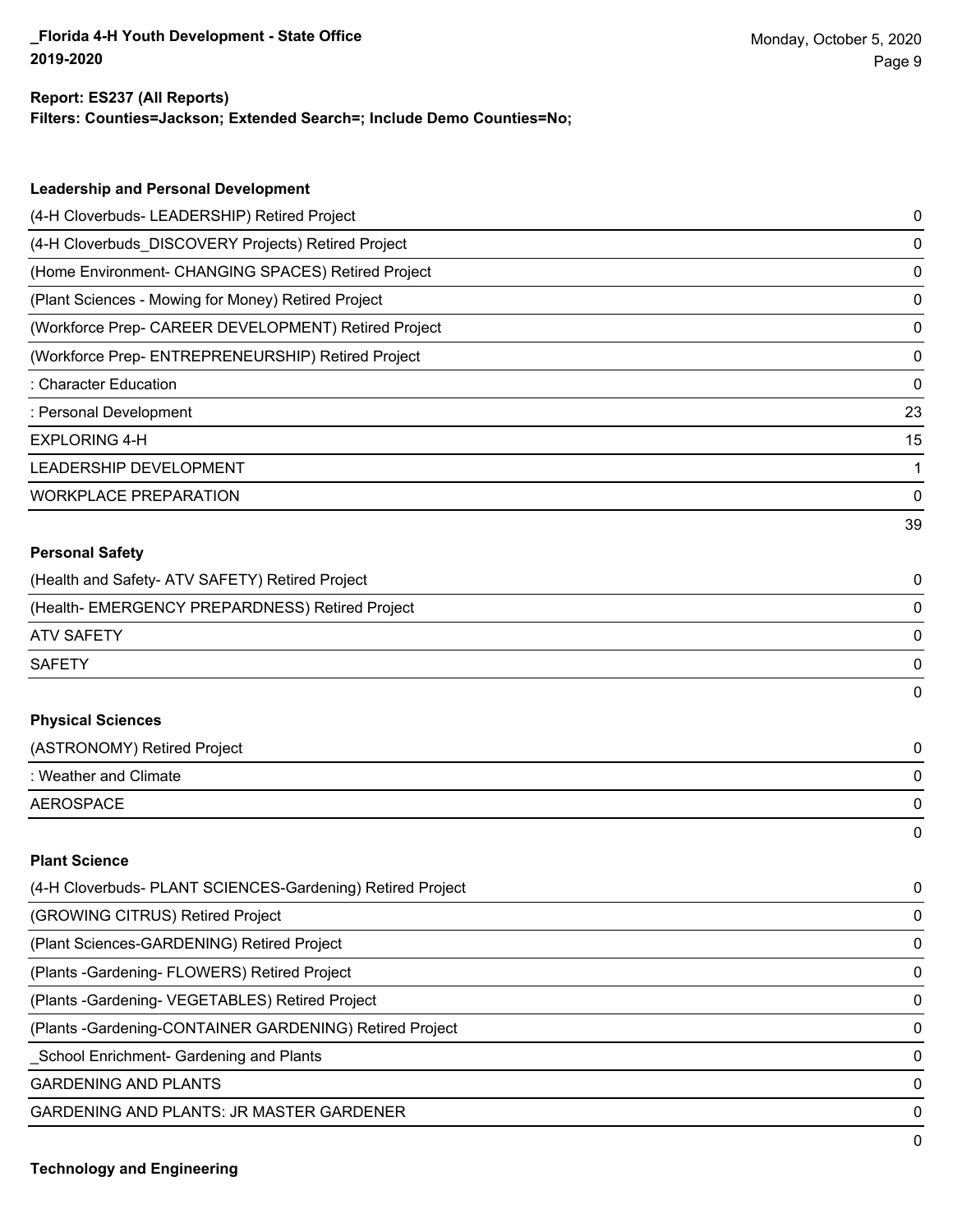#### **Report: ES237 (All Reports)**

**Filters: Counties=Jackson; Extended Search=; Include Demo Counties=No;**

| <b>Leadership and Personal Development</b>                 |    |
|------------------------------------------------------------|----|
| (4-H Cloverbuds- LEADERSHIP) Retired Project               | 0  |
| (4-H Cloverbuds_DISCOVERY Projects) Retired Project        | 0  |
| (Home Environment- CHANGING SPACES) Retired Project        | 0  |
| (Plant Sciences - Mowing for Money) Retired Project        | 0  |
| (Workforce Prep- CAREER DEVELOPMENT) Retired Project       | 0  |
| (Workforce Prep- ENTREPRENEURSHIP) Retired Project         | 0  |
| : Character Education                                      | 0  |
| : Personal Development                                     | 23 |
| <b>EXPLORING 4-H</b>                                       | 15 |
| LEADERSHIP DEVELOPMENT                                     | 1  |
| <b>WORKPLACE PREPARATION</b>                               | 0  |
|                                                            | 39 |
| <b>Personal Safety</b>                                     |    |
| (Health and Safety- ATV SAFETY) Retired Project            | 0  |
| (Health- EMERGENCY PREPARDNESS) Retired Project            | 0  |
| <b>ATV SAFETY</b>                                          | 0  |
| <b>SAFETY</b>                                              | 0  |
|                                                            | 0  |
| <b>Physical Sciences</b>                                   |    |
| (ASTRONOMY) Retired Project                                | 0  |
| : Weather and Climate                                      | 0  |
| <b>AEROSPACE</b>                                           | 0  |
|                                                            | 0  |
| <b>Plant Science</b>                                       |    |
| (4-H Cloverbuds- PLANT SCIENCES-Gardening) Retired Project | 0  |
| (GROWING CITRUS) Retired Project                           | 0  |
| (Plant Sciences-GARDENING) Retired Project                 | 0  |
| (Plants - Gardening - FLOWERS) Retired Project             | 0  |
| (Plants - Gardening - VEGETABLES) Retired Project          | 0  |
| (Plants - Gardening-CONTAINER GARDENING) Retired Project   | 0  |
|                                                            |    |

\_School Enrichment- Gardening and Plants 0

GARDENING AND PLANTS ON A SERIES AND SERIES OF A SERIES OF A SERIES OF A SERIES OF A SERIES OF A SERIES OF A SERIES OF A SERIES OF A SERIES OF A SERIES OF A SERIES OF A SERIES OF A SERIES OF A SERIES OF A SERIES OF A SERIE

GARDENING AND PLANTS: JR MASTER GARDENER 0